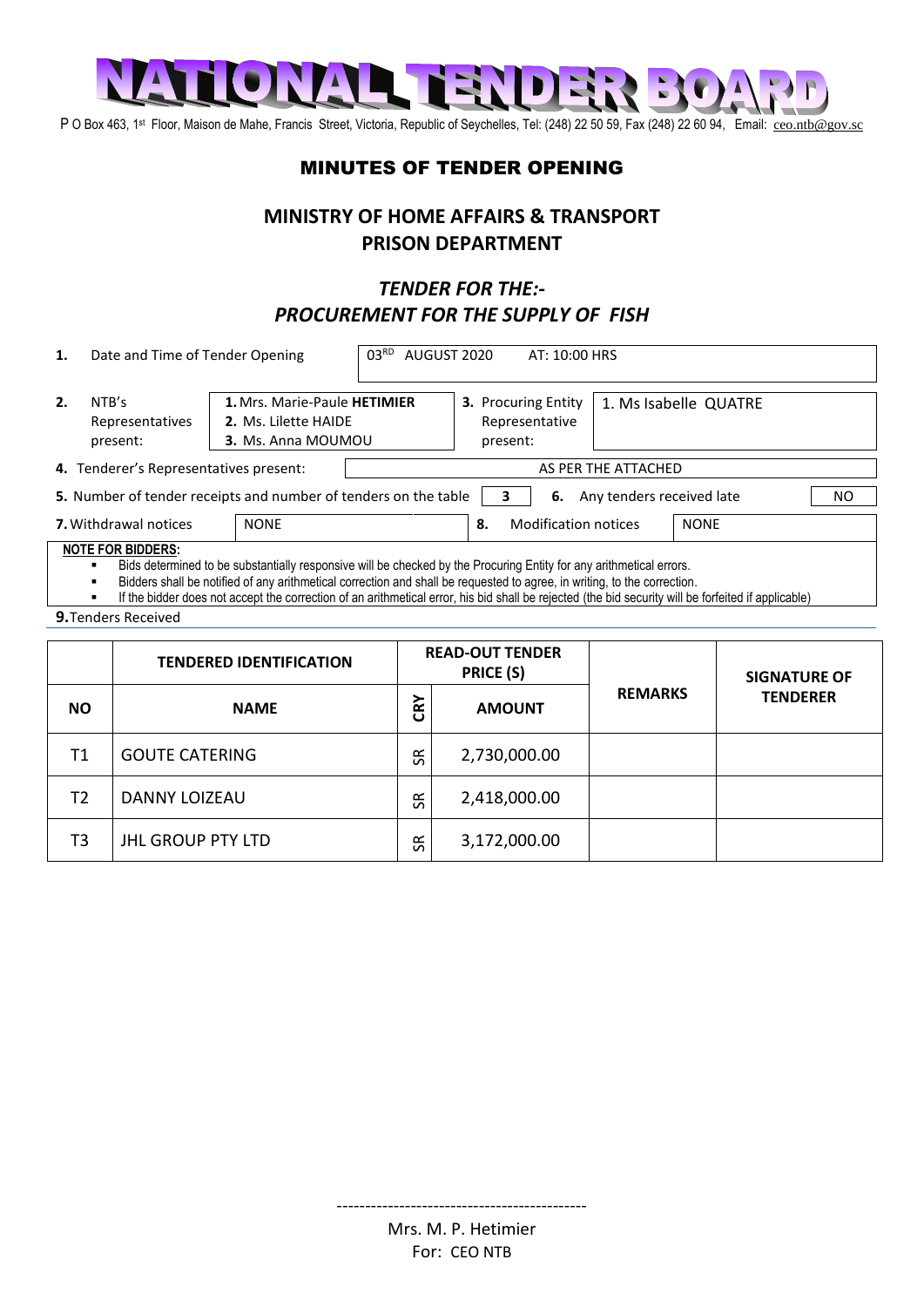

P O Box 463, 1<sup>st</sup> Floor, Maison de Mahe, Francis Street, Victoria, Republic of Seychelles, Tel: (248) 22 50 59, Fax (248) 22 60 94, Email: [ceo.ntb@gov.sc](mailto:ceo.ntb@gov.sc)

## MINUTES OF TENDER OPENING

## **MINISTRY OF HOME AFFAIRS & TRANSPORT PRISON DEPARTMENT**

## *TENDER FOR THE:- PROCUREMENT FOR THE SUPPLY OF FISH*

| 1.                                                                                                                                                                                                                                                                                                                                                                                                                                 | Date and Time of Tender Opening |                                                                            | 03 <sup>RD</sup><br>AUGUST 2020<br>AT: 10:00 HRS |                                                          |               |                       |                |                     |                 |  |  |
|------------------------------------------------------------------------------------------------------------------------------------------------------------------------------------------------------------------------------------------------------------------------------------------------------------------------------------------------------------------------------------------------------------------------------------|---------------------------------|----------------------------------------------------------------------------|--------------------------------------------------|----------------------------------------------------------|---------------|-----------------------|----------------|---------------------|-----------------|--|--|
| 2.<br>NTB's                                                                                                                                                                                                                                                                                                                                                                                                                        | Representatives<br>present:     | 1. Mrs. Marie-Paule HETIMIER<br>2. Ms. Lilette HAIDE<br>3. Ms. Anna MOUMOU |                                                  | <b>3.</b> Procuring Entity<br>Representative<br>present: |               | 1. Ms Isabelle QUATRE |                |                     |                 |  |  |
| 4. Tenderer's Representatives present:                                                                                                                                                                                                                                                                                                                                                                                             |                                 |                                                                            | AS PER THE ATTACHED                              |                                                          |               |                       |                |                     |                 |  |  |
| 5. Number of tender receipts and number of tenders on the table<br><b>6.</b> Any tenders received late<br>NO.<br>3                                                                                                                                                                                                                                                                                                                 |                                 |                                                                            |                                                  |                                                          |               |                       |                |                     |                 |  |  |
| <b>7.</b> Withdrawal notices<br><b>NONE</b>                                                                                                                                                                                                                                                                                                                                                                                        |                                 |                                                                            | <b>Modification notices</b><br>8.                |                                                          |               | <b>NONE</b>           |                |                     |                 |  |  |
| <b>NOTE FOR BIDDERS:</b><br>Bids determined to be substantially responsive will be checked by the Procuring Entity for any arithmetical errors.<br>Bidders shall be notified of any arithmetical correction and shall be requested to agree, in writing, to the correction.<br>If the bidder does not accept the correction of an arithmetical error, his bid shall be rejected (the bid security will be forfeited if applicable) |                                 |                                                                            |                                                  |                                                          |               |                       |                |                     |                 |  |  |
| <b>9.</b> Tenders Received                                                                                                                                                                                                                                                                                                                                                                                                         |                                 |                                                                            |                                                  |                                                          |               |                       |                |                     |                 |  |  |
|                                                                                                                                                                                                                                                                                                                                                                                                                                    | <b>TENDERED IDENTIFICATION</b>  |                                                                            |                                                  | <b>READ-OUT TENDER</b><br>PRICE (S)                      |               |                       |                | <b>SIGNATURE OF</b> |                 |  |  |
| <b>NO</b>                                                                                                                                                                                                                                                                                                                                                                                                                          |                                 | <b>NAME</b>                                                                |                                                  |                                                          | <b>AMOUNT</b> |                       | <b>REMARKS</b> |                     | <b>TENDERER</b> |  |  |

| . . J | 1171111                  | ပ                   | <b>AIVIVVIII</b> |  |
|-------|--------------------------|---------------------|------------------|--|
| T1    | <b>GOUTE CATERING</b>    | $\propto$<br>$\sim$ | 2,730,000.00     |  |
| T2    | DANNY LOIZEAU            | <b>SR</b>           | 2,418,000.00     |  |
| T3    | <b>JHL GROUP PTY LTD</b> | ≃<br>S              | 3,172,000.00     |  |

--------------------------------------------